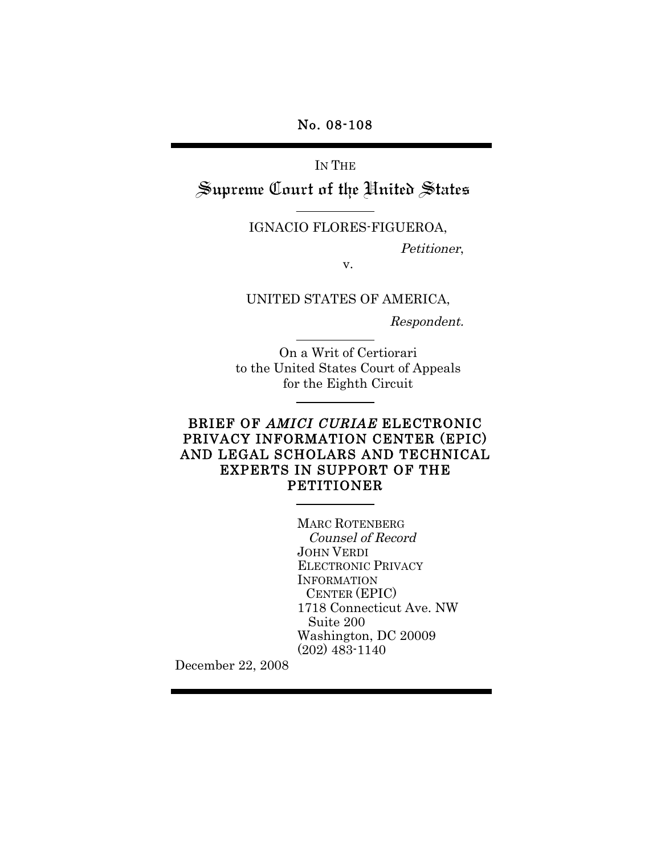No. 08-108

IN THE Supreme Court of the United States

IGNACIO FLORES-FIGUEROA,

Petitioner,

v.

UNITED STATES OF AMERICA,

Respondent.

On a Writ of Certiorari to the United States Court of Appeals for the Eighth Circuit

# BRIEF OF AMICI CURIAE ELECTRONIC PRIVACY INFORMATION CENTER (EPIC) AND LEGAL SCHOLARS AND TECHNICAL EXPERTS IN SUPPORT OF THE PETITIONER

MARC ROTENBERG Counsel of Record JOHN VERDI ELECTRONIC PRIVACY INFORMATION CENTER (EPIC) 1718 Connecticut Ave. NW Suite 200 Washington, DC 20009 (202) 483-1140

December 22, 2008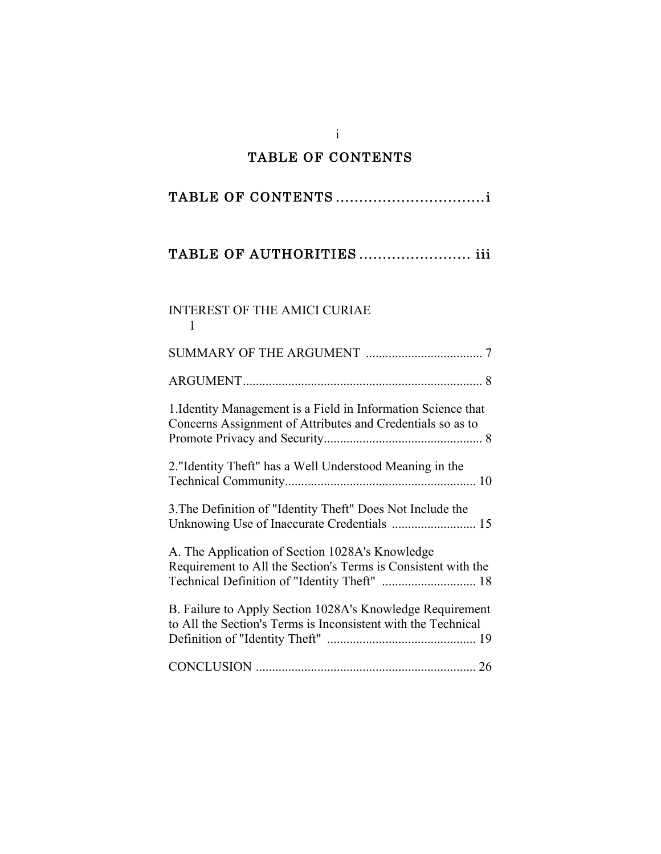# TABLE OF CONTENTS

i

# TABLE OF CONTENTS ................................i

# TABLE OF AUTHORITIES ........................ iii

# INTEREST OF THE AMICI CURIAE 1

| 1. Identity Management is a Field in Information Science that<br>Concerns Assignment of Attributes and Credentials so as to                                      |  |
|------------------------------------------------------------------------------------------------------------------------------------------------------------------|--|
| 2. "Identity Theft" has a Well Understood Meaning in the                                                                                                         |  |
| 3. The Definition of "Identity Theft" Does Not Include the<br>Unknowing Use of Inaccurate Credentials  15                                                        |  |
| A. The Application of Section 1028A's Knowledge<br>Requirement to All the Section's Terms is Consistent with the<br>Technical Definition of "Identity Theft"  18 |  |
| B. Failure to Apply Section 1028A's Knowledge Requirement<br>to All the Section's Terms is Inconsistent with the Technical                                       |  |
|                                                                                                                                                                  |  |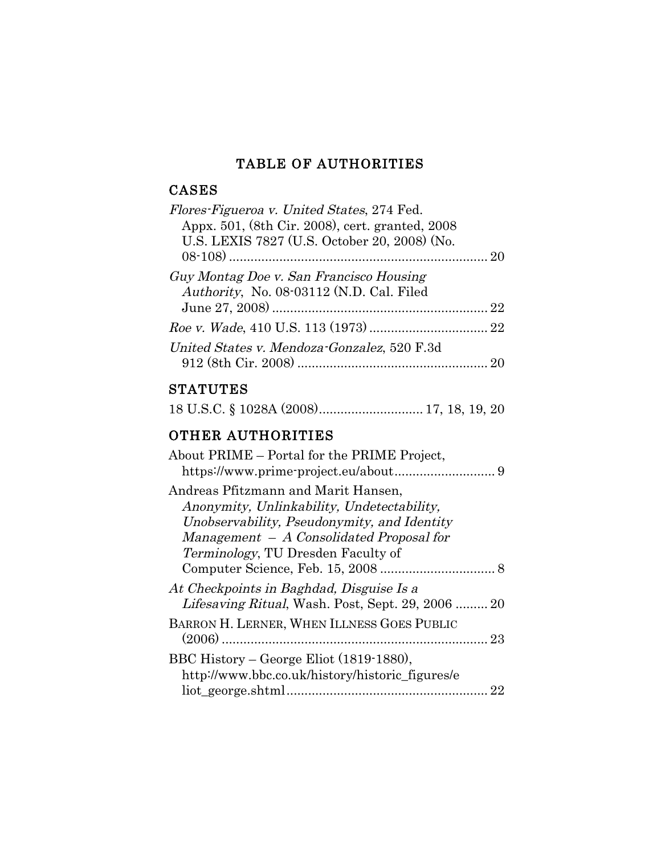# TABLE OF AUTHORITIES

# CASES

| <i>Flores-Figueroa v. United States, 274 Fed.</i><br>Appx. 501, (8th Cir. 2008), cert. granted, 2008<br>U.S. LEXIS 7827 (U.S. October 20, 2008) (No. |  |
|------------------------------------------------------------------------------------------------------------------------------------------------------|--|
| Guy Montag Doe v. San Francisco Housing<br>Authority, No. 08-03112 (N.D. Cal. Filed                                                                  |  |
|                                                                                                                                                      |  |
| United States v. Mendoza-Gonzalez, 520 F.3d                                                                                                          |  |

# **STATUTES**

|--|--|--|--|--|--|

# OTHER AUTHORITIES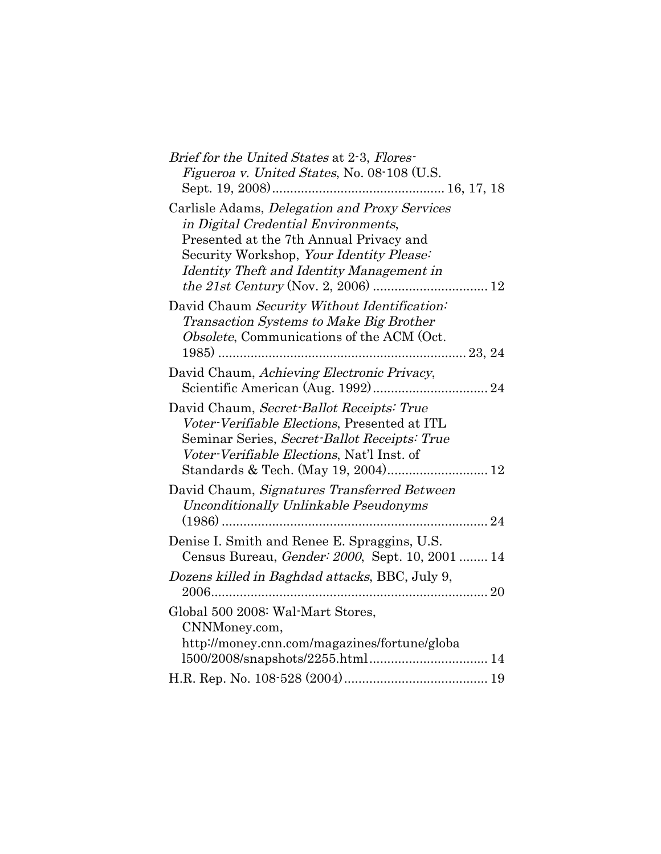| Brief for the United States at 2-3, Flores-     |
|-------------------------------------------------|
| Figueroa v. United States, No. 08-108 (U.S.     |
|                                                 |
| Carlisle Adams, Delegation and Proxy Services   |
| in Digital Credential Environments,             |
| Presented at the 7th Annual Privacy and         |
| Security Workshop, Your Identity Please:        |
| Identity Theft and Identity Management in       |
|                                                 |
| David Chaum Security Without Identification:    |
| <b>Transaction Systems to Make Big Brother</b>  |
| Obsolete, Communications of the ACM (Oct.       |
|                                                 |
| David Chaum, Achieving Electronic Privacy,      |
|                                                 |
| David Chaum, Secret-Ballot Receipts: True       |
| Voter-Verifiable Elections, Presented at ITL    |
| Seminar Series, Secret-Ballot Receipts: True    |
| Voter-Verifiable Elections, Nat'l Inst. of      |
|                                                 |
|                                                 |
| David Chaum, Signatures Transferred Between     |
| Unconditionally Unlinkable Pseudonyms           |
|                                                 |
| Denise I. Smith and Renee E. Spraggins, U.S.    |
| Census Bureau, Gender: 2000, Sept. 10, 2001  14 |
| Dozens killed in Baghdad attacks, BBC, July 9,  |
| 2006                                            |
| Global 500 2008: Wal-Mart Stores,               |
| CNNMoney.com,                                   |
| http://money.cnn.com/magazines/fortune/globa    |
|                                                 |
|                                                 |
|                                                 |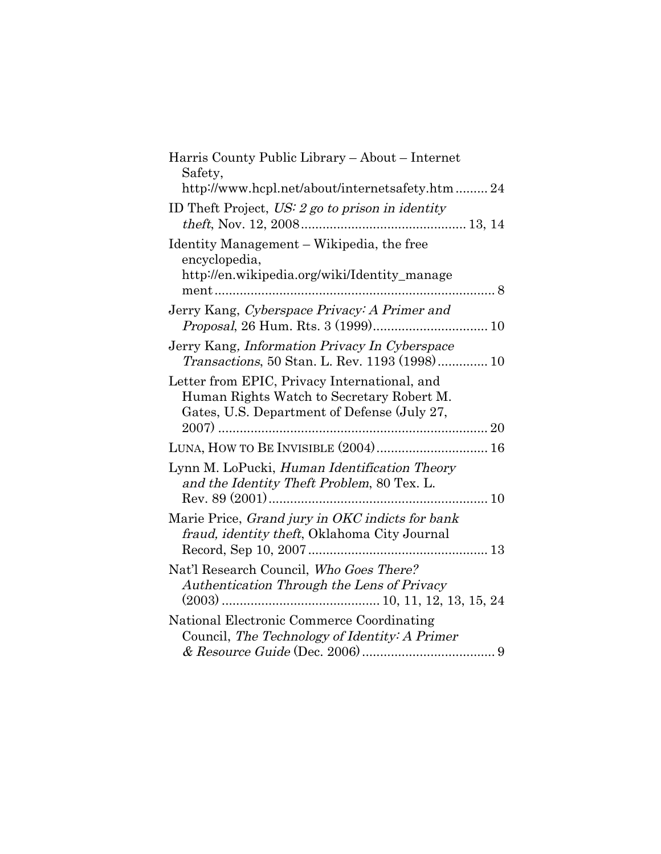| Harris County Public Library - About - Internet<br>Safety,                                                                               |
|------------------------------------------------------------------------------------------------------------------------------------------|
| http://www.hcpl.net/about/internetsafety.htm  24                                                                                         |
| ID Theft Project, $US: 2 go to prison in identity$                                                                                       |
| Identity Management – Wikipedia, the free<br>encyclopedia,<br>http://en.wikipedia.org/wiki/Identity_manage                               |
| Jerry Kang, Cyberspace Privacy: A Primer and                                                                                             |
| Jerry Kang, Information Privacy In Cyberspace<br>Transactions, 50 Stan. L. Rev. 1193 (1998) 10                                           |
| Letter from EPIC, Privacy International, and<br>Human Rights Watch to Secretary Robert M.<br>Gates, U.S. Department of Defense (July 27, |
|                                                                                                                                          |
| LUNA, HOW TO BE INVISIBLE (2004) 16                                                                                                      |
| Lynn M. LoPucki, Human Identification Theory<br>and the Identity Theft Problem, 80 Tex. L.                                               |
|                                                                                                                                          |
| Marie Price, Grand jury in OKC indicts for bank<br>fraud, identity theft, Oklahoma City Journal                                          |
|                                                                                                                                          |
| Nat'l Research Council, Who Goes There?<br>Authentication Through the Lens of Privacy                                                    |
| National Electronic Commerce Coordinating                                                                                                |
| Council, The Technology of Identity: A Primer                                                                                            |
|                                                                                                                                          |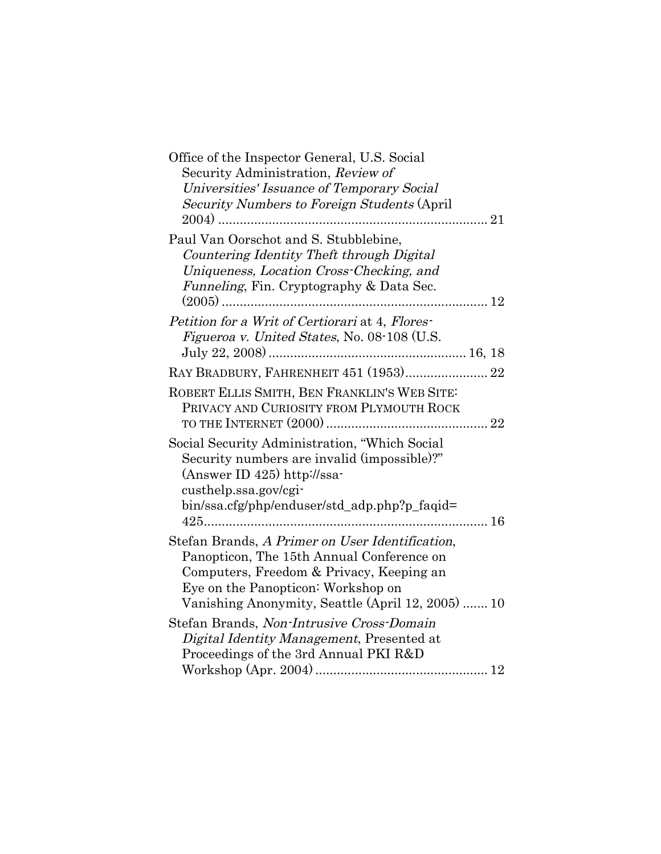| Office of the Inspector General, U.S. Social<br>Security Administration, Review of<br>Universities' Issuance of Temporary Social<br>Security Numbers to Foreign Students (April)                                                    |  |
|-------------------------------------------------------------------------------------------------------------------------------------------------------------------------------------------------------------------------------------|--|
| Paul Van Oorschot and S. Stubblebine,<br>Countering Identity Theft through Digital<br>Uniqueness, Location Cross-Checking, and<br>Funneling, Fin. Cryptography & Data Sec.                                                          |  |
| Petition for a Writ of Certiorari at 4, Flores-<br>Figueroa v. United States, No. 08-108 (U.S.                                                                                                                                      |  |
| RAY BRADBURY, FAHRENHEIT 451 (1953) 22                                                                                                                                                                                              |  |
| ROBERT ELLIS SMITH, BEN FRANKLIN'S WEB SITE:<br>PRIVACY AND CURIOSITY FROM PLYMOUTH ROCK                                                                                                                                            |  |
| Social Security Administration, "Which Social<br>Security numbers are invalid (impossible)?"<br>(Answer ID $425$ ) http://ssa-<br>custhelp.ssa.gov/cgi-<br>bin/ssa.cfg/php/enduser/std_adp.php?p_faqid=                             |  |
| Stefan Brands, A Primer on User Identification,<br>Panopticon, The 15th Annual Conference on<br>Computers, Freedom & Privacy, Keeping an<br>Eye on the Panopticon: Workshop on<br>Vanishing Anonymity, Seattle (April 12, 2005)  10 |  |
| Stefan Brands, Non-Intrusive Cross-Domain<br>Digital Identity Management, Presented at<br>Proceedings of the 3rd Annual PKI R&D                                                                                                     |  |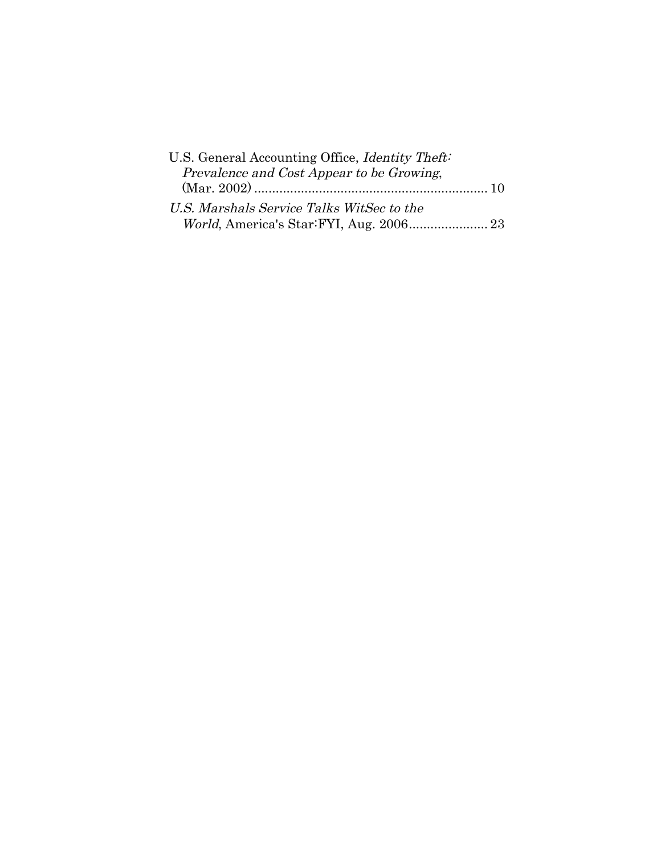| U.S. General Accounting Office, <i>Identity Theft</i> : |  |
|---------------------------------------------------------|--|
| Prevalence and Cost Appear to be Growing,               |  |
|                                                         |  |
| U.S. Marshals Service Talks WitSec to the               |  |
|                                                         |  |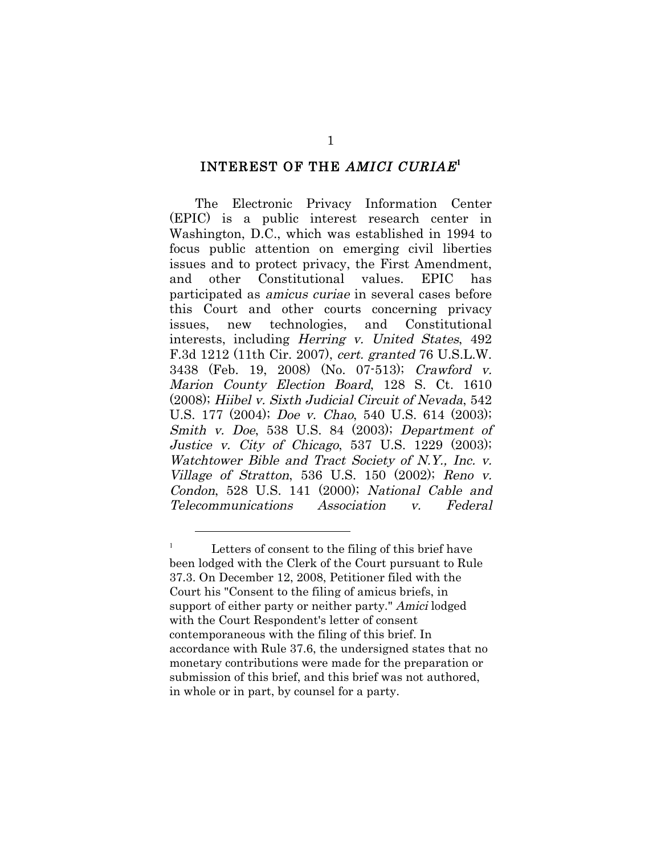#### INTEREST OF THE AMICI CURIAE**<sup>1</sup>**

The Electronic Privacy Information Center (EPIC) is a public interest research center in Washington, D.C., which was established in 1994 to focus public attention on emerging civil liberties issues and to protect privacy, the First Amendment, and other Constitutional values. EPIC has participated as amicus curiae in several cases before this Court and other courts concerning privacy issues, new technologies, and Constitutional interests, including Herring v. United States, 492 F.3d 1212 (11th Cir. 2007), cert. granted 76 U.S.L.W. 3438 (Feb. 19, 2008) (No. 07-513); Crawford v. Marion County Election Board, 128 S. Ct. 1610 (2008); Hiibel v. Sixth Judicial Circuit of Nevada, 542 U.S. 177 (2004); Doe v. Chao, 540 U.S. 614 (2003); Smith v. Doe, 538 U.S. 84 (2003); Department of Justice v. City of Chicago, 537 U.S. 1229 (2003); Watchtower Bible and Tract Society of N.Y., Inc. v. Village of Stratton, 536 U.S. 150 (2002); Reno v. Condon, 528 U.S. 141 (2000); National Cable and Telecommunications Association v. Federal

<sup>&</sup>lt;sup>1</sup> Letters of consent to the filing of this brief have been lodged with the Clerk of the Court pursuant to Rule 37.3. On December 12, 2008, Petitioner filed with the Court his "Consent to the filing of amicus briefs, in support of either party or neither party." Amici lodged with the Court Respondent's letter of consent contemporaneous with the filing of this brief. In accordance with Rule 37.6, the undersigned states that no monetary contributions were made for the preparation or submission of this brief, and this brief was not authored, in whole or in part, by counsel for a party.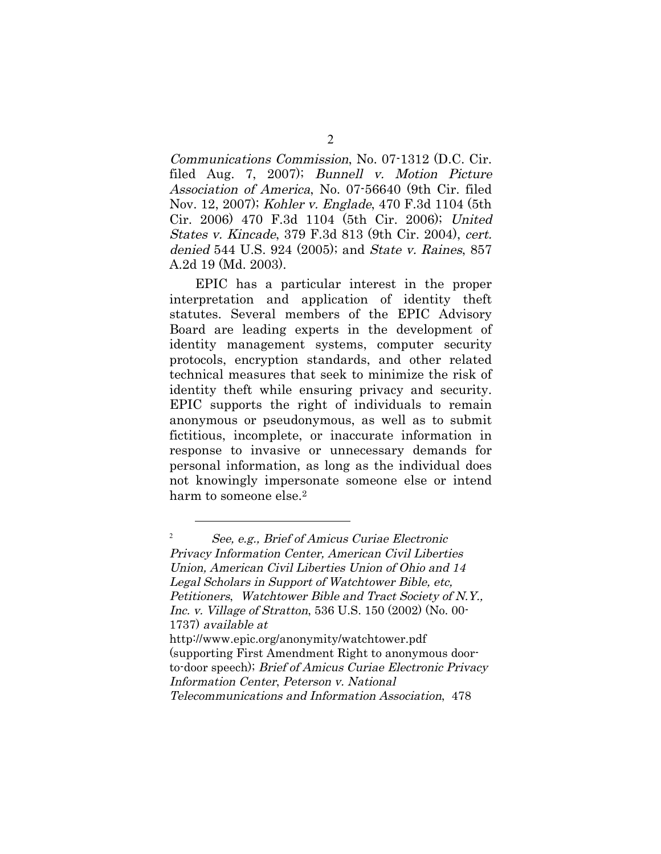Communications Commission, No. 07-1312 (D.C. Cir. filed Aug. 7, 2007); Bunnell v. Motion Picture Association of America, No. 07-56640 (9th Cir. filed Nov. 12, 2007); Kohler v. Englade, 470 F.3d 1104 (5th Cir. 2006) 470 F.3d 1104 (5th Cir. 2006); United States v. Kincade, 379 F.3d 813 (9th Cir. 2004), cert. denied 544 U.S. 924 (2005); and State v. Raines, 857 A.2d 19 (Md. 2003).

EPIC has a particular interest in the proper interpretation and application of identity theft statutes. Several members of the EPIC Advisory Board are leading experts in the development of identity management systems, computer security protocols, encryption standards, and other related technical measures that seek to minimize the risk of identity theft while ensuring privacy and security. EPIC supports the right of individuals to remain anonymous or pseudonymous, as well as to submit fictitious, incomplete, or inaccurate information in response to invasive or unnecessary demands for personal information, as long as the individual does not knowingly impersonate someone else or intend harm to someone else.<sup>2</sup>

<sup>2</sup> See, e.g., Brief of Amicus Curiae Electronic Privacy Information Center, American Civil Liberties Union, American Civil Liberties Union of Ohio and 14 Legal Scholars in Support of Watchtower Bible, etc, Petitioners, Watchtower Bible and Tract Society of N.Y., Inc. v. Village of Stratton, 536 U.S. 150 (2002) (No. 00- 1737) available at http://www.epic.org/anonymity/watchtower.pdf (supporting First Amendment Right to anonymous doorto-door speech); Brief of Amicus Curiae Electronic Privacy Information Center, Peterson v. National

Telecommunications and Information Association, 478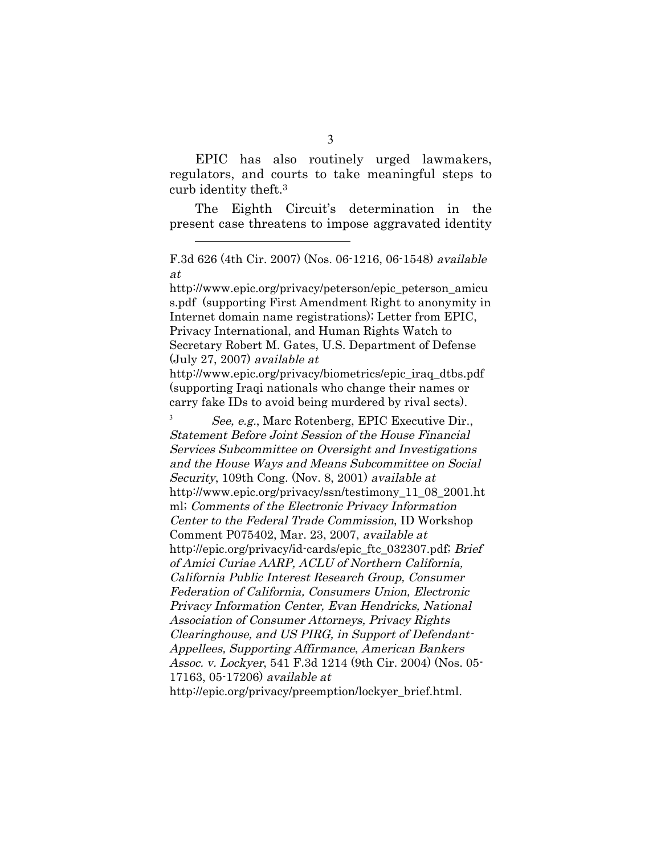EPIC has also routinely urged lawmakers, regulators, and courts to take meaningful steps to curb identity theft.3

The Eighth Circuit's determination in the present case threatens to impose aggravated identity

 $\overline{a}$ 

http://www.epic.org/privacy/peterson/epic\_peterson\_amicu s.pdf (supporting First Amendment Right to anonymity in Internet domain name registrations); Letter from EPIC, Privacy International, and Human Rights Watch to Secretary Robert M. Gates, U.S. Department of Defense (July 27, 2007) available at

http://www.epic.org/privacy/biometrics/epic\_iraq\_dtbs.pdf (supporting Iraqi nationals who change their names or carry fake IDs to avoid being murdered by rival sects).

<sup>3</sup> See, e.g., Marc Rotenberg, EPIC Executive Dir., Statement Before Joint Session of the House Financial Services Subcommittee on Oversight and Investigations and the House Ways and Means Subcommittee on Social Security, 109th Cong. (Nov. 8, 2001) available at http://www.epic.org/privacy/ssn/testimony\_11\_08\_2001.ht ml; Comments of the Electronic Privacy Information Center to the Federal Trade Commission, ID Workshop Comment P075402, Mar. 23, 2007, available at http://epic.org/privacy/id-cards/epic\_ftc\_032307.pdf; Brief of Amici Curiae AARP, ACLU of Northern California, California Public Interest Research Group, Consumer Federation of California, Consumers Union, Electronic Privacy Information Center, Evan Hendricks, National Association of Consumer Attorneys, Privacy Rights Clearinghouse, and US PIRG, in Support of Defendant-Appellees, Supporting Affirmance, American Bankers Assoc. v. Lockyer, 541 F.3d 1214 (9th Cir. 2004) (Nos. 05- 17163, 05-17206) available at http://epic.org/privacy/preemption/lockyer\_brief.html.

F.3d 626 (4th Cir. 2007) (Nos. 06-1216, 06-1548) available at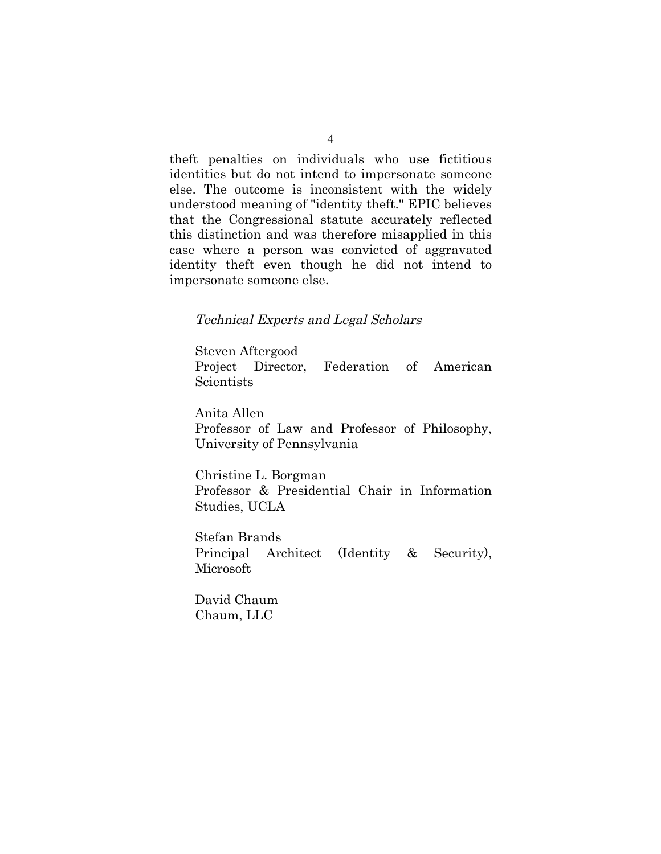theft penalties on individuals who use fictitious identities but do not intend to impersonate someone else. The outcome is inconsistent with the widely understood meaning of "identity theft." EPIC believes that the Congressional statute accurately reflected this distinction and was therefore misapplied in this case where a person was convicted of aggravated identity theft even though he did not intend to impersonate someone else.

#### Technical Experts and Legal Scholars

Steven Aftergood Project Director, Federation of American **Scientists** 

Anita Allen Professor of Law and Professor of Philosophy, University of Pennsylvania

Christine L. Borgman Professor & Presidential Chair in Information Studies, UCLA

Stefan Brands Principal Architect (Identity & Security), Microsoft

David Chaum Chaum, LLC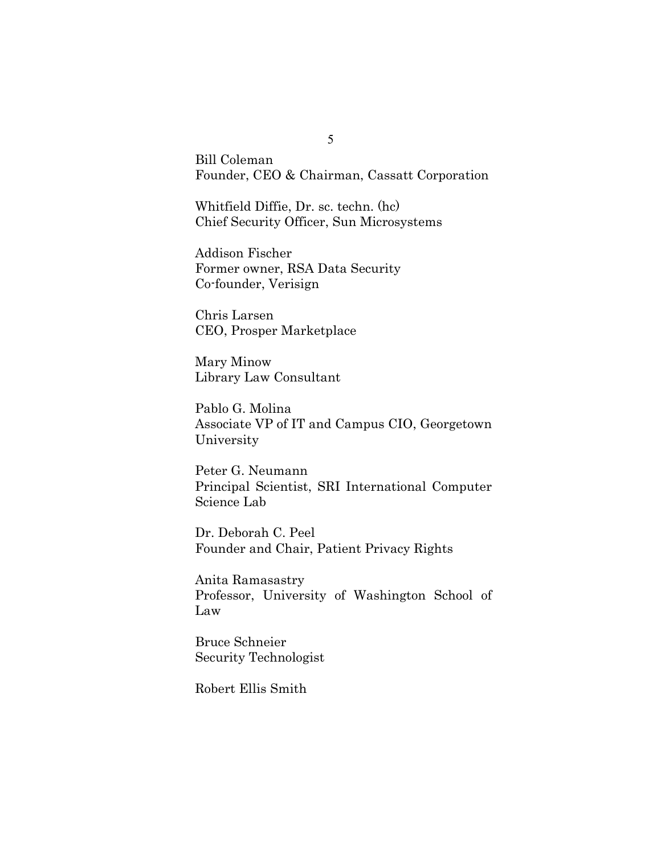Bill Coleman Founder, CEO & Chairman, Cassatt Corporation

Whitfield Diffie, Dr. sc. techn. (hc) Chief Security Officer, Sun Microsystems

Addison Fischer Former owner, RSA Data Security Co-founder, Verisign

Chris Larsen CEO, Prosper Marketplace

Mary Minow Library Law Consultant

Pablo G. Molina Associate VP of IT and Campus CIO, Georgetown University

Peter G. Neumann Principal Scientist, SRI International Computer Science Lab

Dr. Deborah C. Peel Founder and Chair, Patient Privacy Rights

Anita Ramasastry Professor, University of Washington School of Law

Bruce Schneier Security Technologist

Robert Ellis Smith

5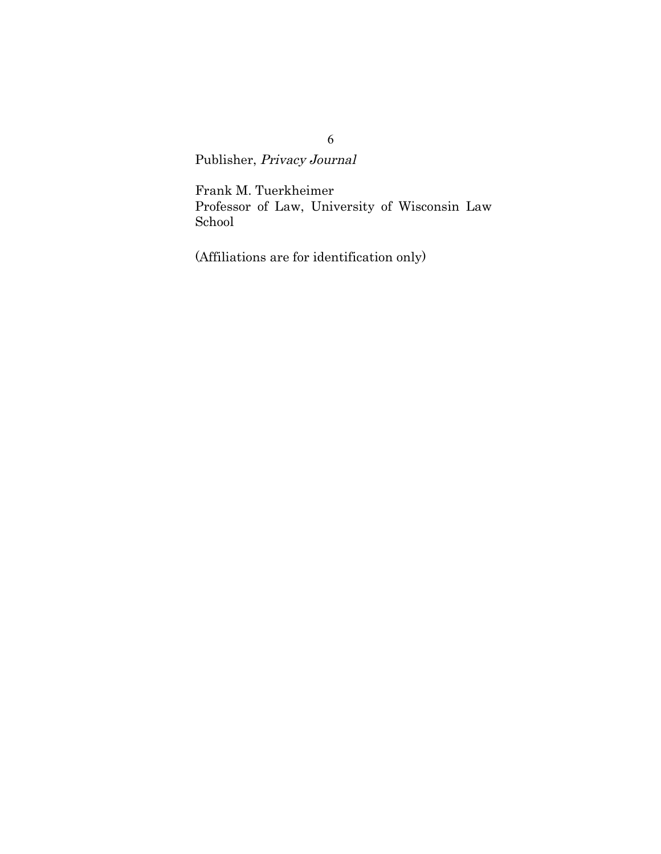Publisher, Privacy Journal

Frank M. Tuerkheimer Professor of Law, University of Wisconsin Law School

(Affiliations are for identification only)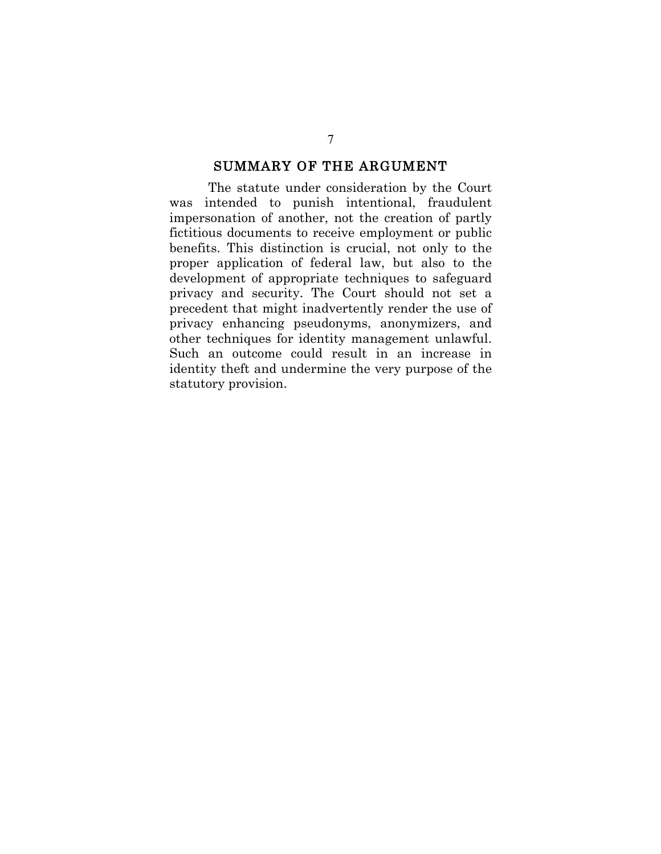#### SUMMARY OF THE ARGUMENT

The statute under consideration by the Court was intended to punish intentional, fraudulent impersonation of another, not the creation of partly fictitious documents to receive employment or public benefits. This distinction is crucial, not only to the proper application of federal law, but also to the development of appropriate techniques to safeguard privacy and security. The Court should not set a precedent that might inadvertently render the use of privacy enhancing pseudonyms, anonymizers, and other techniques for identity management unlawful. Such an outcome could result in an increase in identity theft and undermine the very purpose of the statutory provision.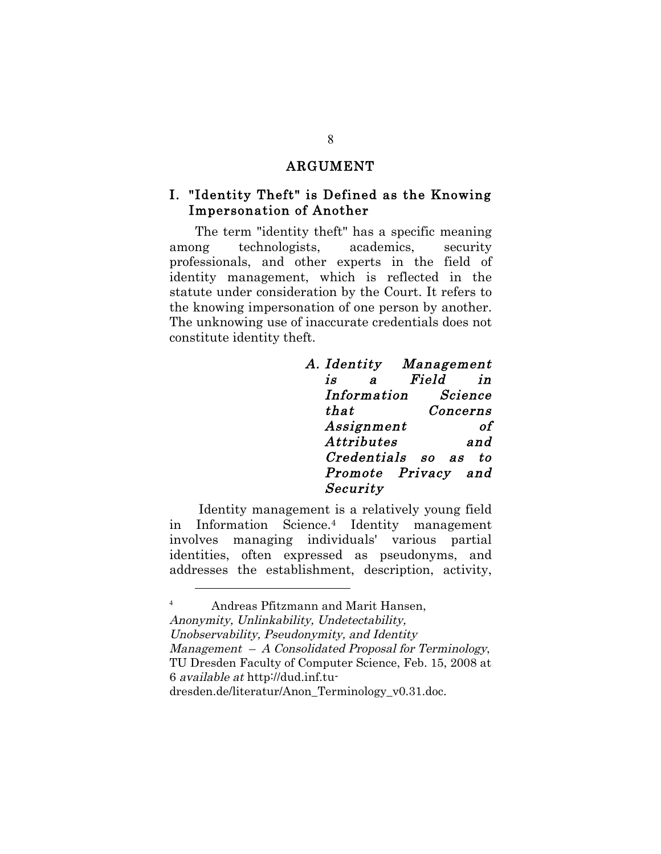#### ARGUMENT

### I. "Identity Theft" is Defined as the Knowing Impersonation of Another

The term "identity theft" has a specific meaning among technologists, academics, security professionals, and other experts in the field of identity management, which is reflected in the statute under consideration by the Court. It refers to the knowing impersonation of one person by another. The unknowing use of inaccurate credentials does not constitute identity theft.

| A. Identity        |   |       | Management          |
|--------------------|---|-------|---------------------|
| İS                 | я | Field | in                  |
| Information        |   |       | Science             |
| that               |   |       | Concerns            |
| Assignment         |   |       |                     |
| <b>Attributes</b>  |   |       | and                 |
| <i>Credentials</i> |   | so as | tο                  |
|                    |   |       | Promote Privacy and |
| Security           |   |       |                     |
|                    |   |       |                     |

Identity management is a relatively young field in Information Science.4 Identity management involves managing individuals' various partial identities, often expressed as pseudonyms, and addresses the establishment, description, activity,

 $\overline{a}$ 

<sup>4</sup> Andreas Pfitzmann and Marit Hansen, Anonymity, Unlinkability, Undetectability, Unobservability, Pseudonymity, and Identity Management – A Consolidated Proposal for Terminology, TU Dresden Faculty of Computer Science, Feb. 15, 2008 at 6 available at http://dud.inf.tudresden.de/literatur/Anon\_Terminology\_v0.31.doc.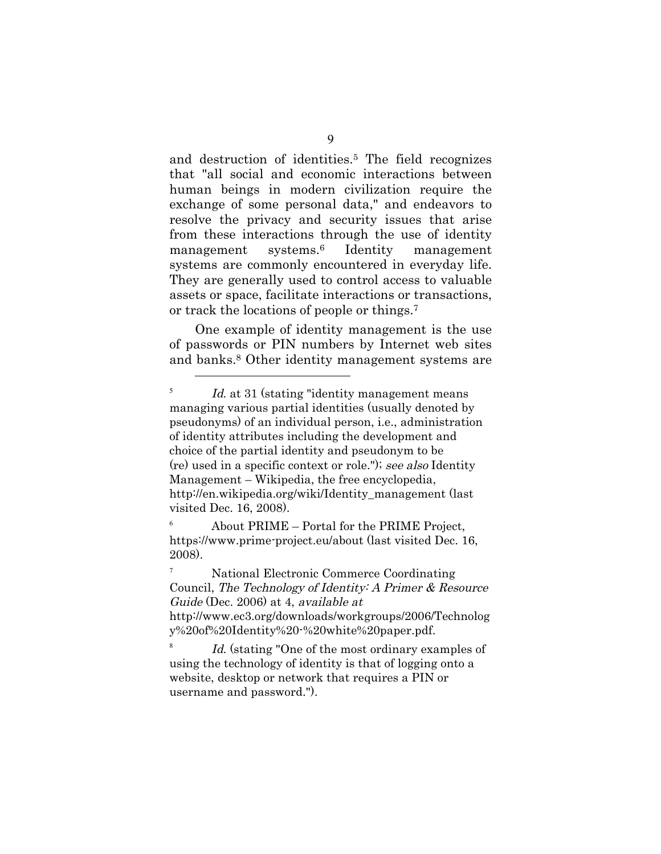and destruction of identities.5 The field recognizes that "all social and economic interactions between human beings in modern civilization require the exchange of some personal data," and endeavors to resolve the privacy and security issues that arise from these interactions through the use of identity management systems.6 Identity management systems are commonly encountered in everyday life. They are generally used to control access to valuable assets or space, facilitate interactions or transactions, or track the locations of people or things.7

One example of identity management is the use of passwords or PIN numbers by Internet web sites and banks.8 Other identity management systems are

 $\overline{a}$ 

<sup>6</sup> About PRIME – Portal for the PRIME Project, https://www.prime-project.eu/about (last visited Dec. 16, 2008).

<sup>7</sup> National Electronic Commerce Coordinating Council, The Technology of Identity: A Primer & Resource Guide (Dec. 2006) at 4, available at http://www.ec3.org/downloads/workgroups/2006/Technolog y%20of%20Identity%20-%20white%20paper.pdf.

 $8$  Id. (stating "One of the most ordinary examples of using the technology of identity is that of logging onto a website, desktop or network that requires a PIN or username and password.").

 $I_{d.}$  at 31 (stating "identity management means") managing various partial identities (usually denoted by pseudonyms) of an individual person, i.e., administration of identity attributes including the development and choice of the partial identity and pseudonym to be (re) used in a specific context or role."); see also Identity Management – Wikipedia, the free encyclopedia, http://en.wikipedia.org/wiki/Identity\_management (last visited Dec. 16, 2008).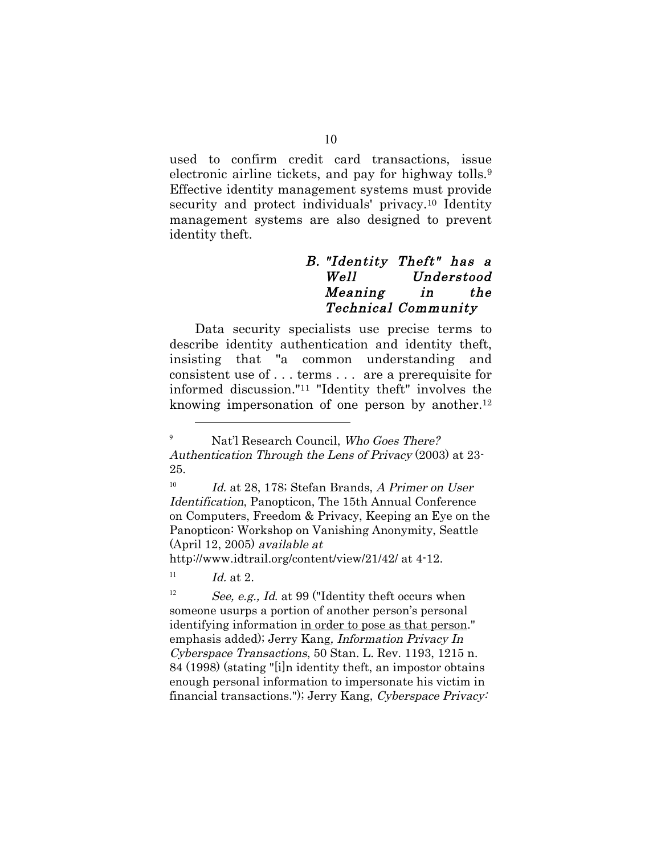used to confirm credit card transactions, issue electronic airline tickets, and pay for highway tolls.<sup>9</sup> Effective identity management systems must provide security and protect individuals' privacy.<sup>10</sup> Identity management systems are also designed to prevent identity theft.

### B. "Identity Theft" has a Well Understood Meaning in the Technical Community

Data security specialists use precise terms to describe identity authentication and identity theft, insisting that "a common understanding and consistent use of . . . terms . . . are a prerequisite for informed discussion."11 "Identity theft" involves the knowing impersonation of one person by another.<sup>12</sup>

http://www.idtrail.org/content/view/21/42/ at 4-12.

 $11$  *Id.* at 2.

 $\overline{a}$ 

<sup>12</sup> See, e.g., *Id.* at 99 ("Identity theft occurs when someone usurps a portion of another person's personal identifying information in order to pose as that person." emphasis added); Jerry Kang, Information Privacy In Cyberspace Transactions, 50 Stan. L. Rev. 1193, 1215 n. 84 (1998) (stating "[i]n identity theft, an impostor obtains enough personal information to impersonate his victim in financial transactions."); Jerry Kang, Cyberspace Privacy:

<sup>&</sup>lt;sup>9</sup> Nat'l Research Council, Who Goes There? Authentication Through the Lens of Privacy (2003) at 23- 25.

 $10$  Id. at 28, 178; Stefan Brands, A Primer on User Identification, Panopticon, The 15th Annual Conference on Computers, Freedom & Privacy, Keeping an Eye on the Panopticon: Workshop on Vanishing Anonymity, Seattle (April 12, 2005) available at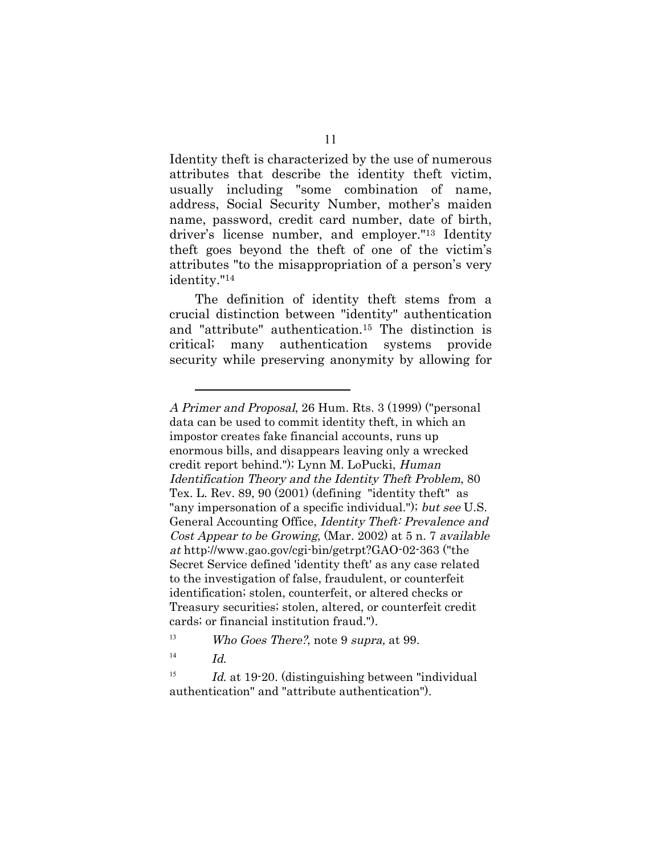Identity theft is characterized by the use of numerous attributes that describe the identity theft victim, usually including "some combination of name, address, Social Security Number, mother's maiden name, password, credit card number, date of birth, driver's license number, and employer."13 Identity theft goes beyond the theft of one of the victim's attributes "to the misappropriation of a person's very identity."14

The definition of identity theft stems from a crucial distinction between "identity" authentication and "attribute" authentication.15 The distinction is critical; many authentication systems provide security while preserving anonymity by allowing for

A Primer and Proposal, 26 Hum. Rts. 3 (1999) ("personal data can be used to commit identity theft, in which an impostor creates fake financial accounts, runs up enormous bills, and disappears leaving only a wrecked credit report behind."); Lynn M. LoPucki, Human Identification Theory and the Identity Theft Problem, 80 Tex. L. Rev. 89, 90 (2001) (defining "identity theft" as "any impersonation of a specific individual."); but see U.S. General Accounting Office, Identity Theft: Prevalence and Cost Appear to be Growing, (Mar. 2002) at 5 n. 7 available at http://www.gao.gov/cgi-bin/getrpt?GAO-02-363 ("the Secret Service defined 'identity theft' as any case related to the investigation of false, fraudulent, or counterfeit identification; stolen, counterfeit, or altered checks or Treasury securities; stolen, altered, or counterfeit credit cards; or financial institution fraud.").

<sup>&</sup>lt;sup>13</sup> Who Goes There?, note 9 supra, at 99.

 $14$  Id.

<sup>&</sup>lt;sup>15</sup> Id. at 19-20. (distinguishing between "individual authentication" and "attribute authentication").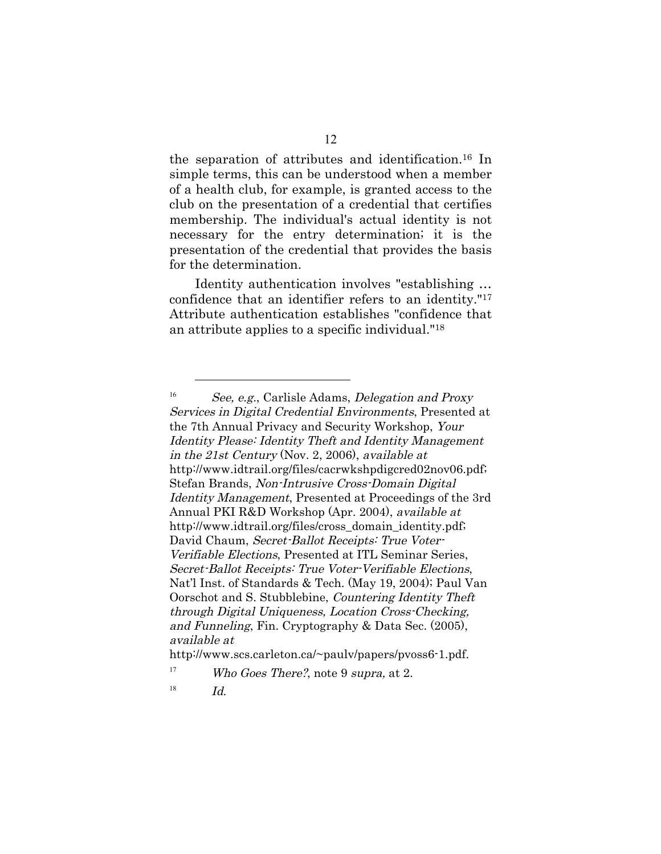the separation of attributes and identification.16 In simple terms, this can be understood when a member of a health club, for example, is granted access to the club on the presentation of a credential that certifies membership. The individual's actual identity is not necessary for the entry determination; it is the presentation of the credential that provides the basis for the determination.

Identity authentication involves "establishing … confidence that an identifier refers to an identity."17 Attribute authentication establishes "confidence that an attribute applies to a specific individual."18

http://www.scs.carleton.ca/~paulv/papers/pvoss6-1.pdf.

<sup>&</sup>lt;sup>16</sup> See, e.g., Carlisle Adams, *Delegation and Proxy* Services in Digital Credential Environments, Presented at the 7th Annual Privacy and Security Workshop, Your Identity Please: Identity Theft and Identity Management in the 21st Century (Nov. 2, 2006), available at http://www.idtrail.org/files/cacrwkshpdigcred02nov06.pdf; Stefan Brands, Non-Intrusive Cross-Domain Digital Identity Management, Presented at Proceedings of the 3rd Annual PKI R&D Workshop (Apr. 2004), available at http://www.idtrail.org/files/cross\_domain\_identity.pdf; David Chaum, Secret-Ballot Receipts: True Voter-Verifiable Elections, Presented at ITL Seminar Series, Secret-Ballot Receipts: True Voter-Verifiable Elections, Nat'l Inst. of Standards & Tech. (May 19, 2004); Paul Van Oorschot and S. Stubblebine, Countering Identity Theft through Digital Uniqueness, Location Cross-Checking, and Funneling, Fin. Cryptography & Data Sec. (2005), available at

<sup>&</sup>lt;sup>17</sup> Who Goes There?, note 9 supra, at 2.

 $18$  *Id.*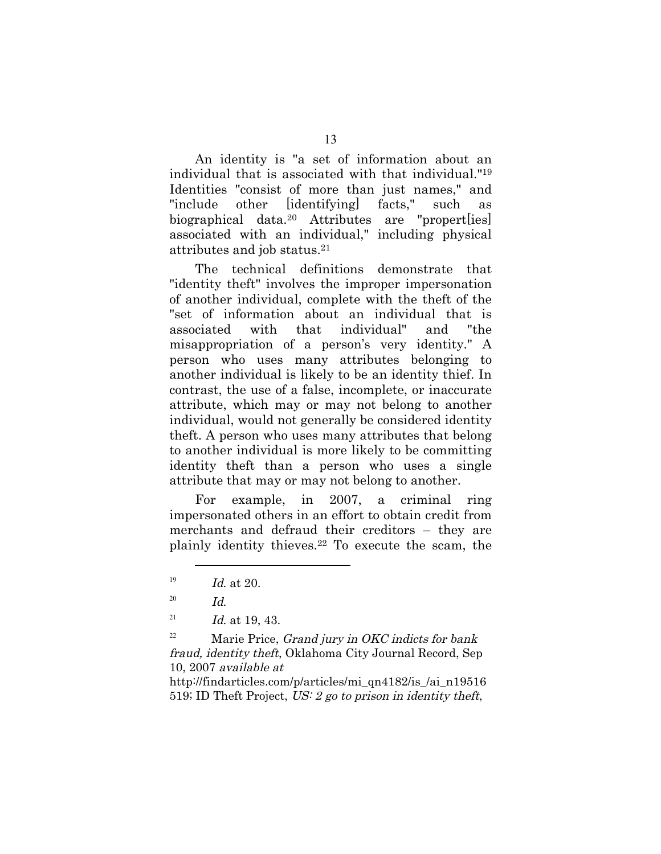An identity is "a set of information about an individual that is associated with that individual."19 Identities "consist of more than just names," and "include other [identifying] facts," such biographical data.20 Attributes are "propert[ies] associated with an individual," including physical attributes and job status.21

The technical definitions demonstrate that "identity theft" involves the improper impersonation of another individual, complete with the theft of the "set of information about an individual that is associated with that individual" and "the misappropriation of a person's very identity." A person who uses many attributes belonging to another individual is likely to be an identity thief. In contrast, the use of a false, incomplete, or inaccurate attribute, which may or may not belong to another individual, would not generally be considered identity theft. A person who uses many attributes that belong to another individual is more likely to be committing identity theft than a person who uses a single attribute that may or may not belong to another.

For example, in 2007, a criminal ring impersonated others in an effort to obtain credit from merchants and defraud their creditors – they are plainly identity thieves.22 To execute the scam, the

 $\overline{a}$ 

<sup>22</sup> Marie Price, *Grand jury in OKC indicts for bank* fraud, identity theft, Oklahoma City Journal Record, Sep 10, 2007 available at

http://findarticles.com/p/articles/mi\_qn4182/is\_/ai\_n19516 519; ID Theft Project, US: 2 go to prison in identity theft,

 $19$  *Id.* at 20.

 $^{20}$  Id.

<sup>&</sup>lt;sup>21</sup> *Id.* at 19, 43.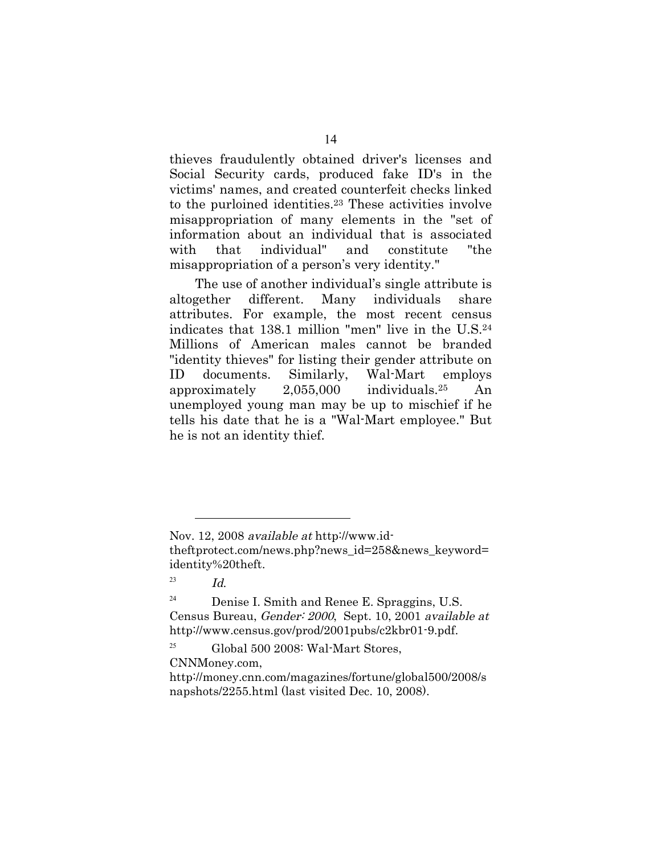thieves fraudulently obtained driver's licenses and Social Security cards, produced fake ID's in the victims' names, and created counterfeit checks linked to the purloined identities.23 These activities involve misappropriation of many elements in the "set of information about an individual that is associated with that individual" and constitute "the misappropriation of a person's very identity."

The use of another individual's single attribute is altogether different. Many individuals share attributes. For example, the most recent census indicates that 138.1 million "men" live in the U.S.24 Millions of American males cannot be branded "identity thieves" for listing their gender attribute on ID documents. Similarly, Wal-Mart employs approximately 2,055,000 individuals.25 An unemployed young man may be up to mischief if he tells his date that he is a "Wal-Mart employee." But he is not an identity thief.

Nov. 12, 2008 available at http://www.id-

theftprotect.com/news.php?news\_id=258&news\_keyword= identity%20theft.

 $^{23}$  Id.

 $24$  Denise I. Smith and Renee E. Spraggins, U.S. Census Bureau, Gender: 2000, Sept. 10, 2001 available at http://www.census.gov/prod/2001pubs/c2kbr01-9.pdf.

<sup>&</sup>lt;sup>25</sup> Global 500 2008: Wal-Mart Stores, CNNMoney.com,

http://money.cnn.com/magazines/fortune/global500/2008/s napshots/2255.html (last visited Dec. 10, 2008).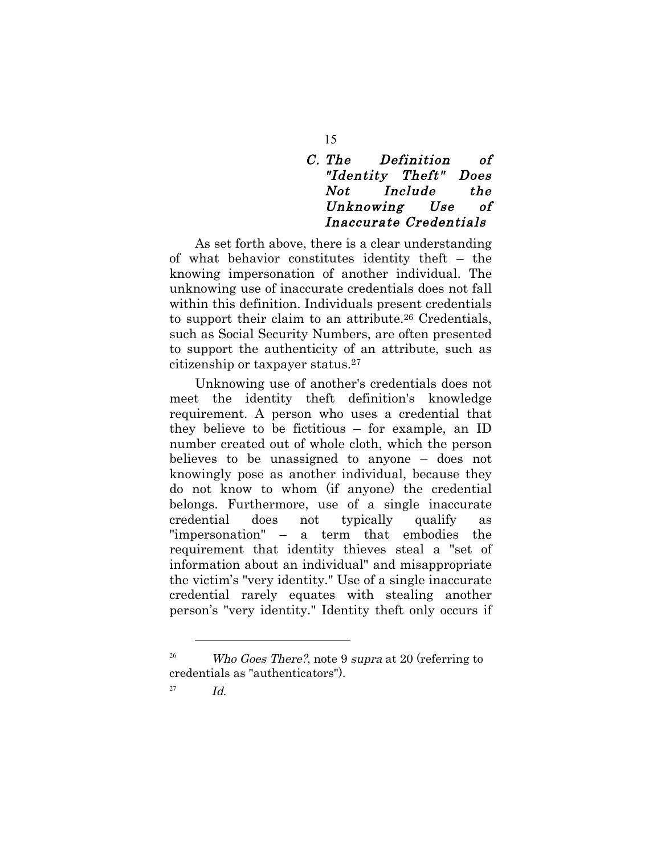# C. The Definition of "Identity Theft" Does Not Include the Unknowing Use of Inaccurate Credentials

As set forth above, there is a clear understanding of what behavior constitutes identity theft – the knowing impersonation of another individual. The unknowing use of inaccurate credentials does not fall within this definition. Individuals present credentials to support their claim to an attribute.26 Credentials, such as Social Security Numbers, are often presented to support the authenticity of an attribute, such as citizenship or taxpayer status.27

Unknowing use of another's credentials does not meet the identity theft definition's knowledge requirement. A person who uses a credential that they believe to be fictitious – for example, an ID number created out of whole cloth, which the person believes to be unassigned to anyone – does not knowingly pose as another individual, because they do not know to whom (if anyone) the credential belongs. Furthermore, use of a single inaccurate credential does not typically qualify as "impersonation" – a term that embodies the requirement that identity thieves steal a "set of information about an individual" and misappropriate the victim's "very identity." Use of a single inaccurate credential rarely equates with stealing another person's "very identity." Identity theft only occurs if

 $\overline{a}$ 

15

<sup>&</sup>lt;sup>26</sup> Who Goes There?, note 9 supra at 20 (referring to credentials as "authenticators").

 $^{27}$  *Id.*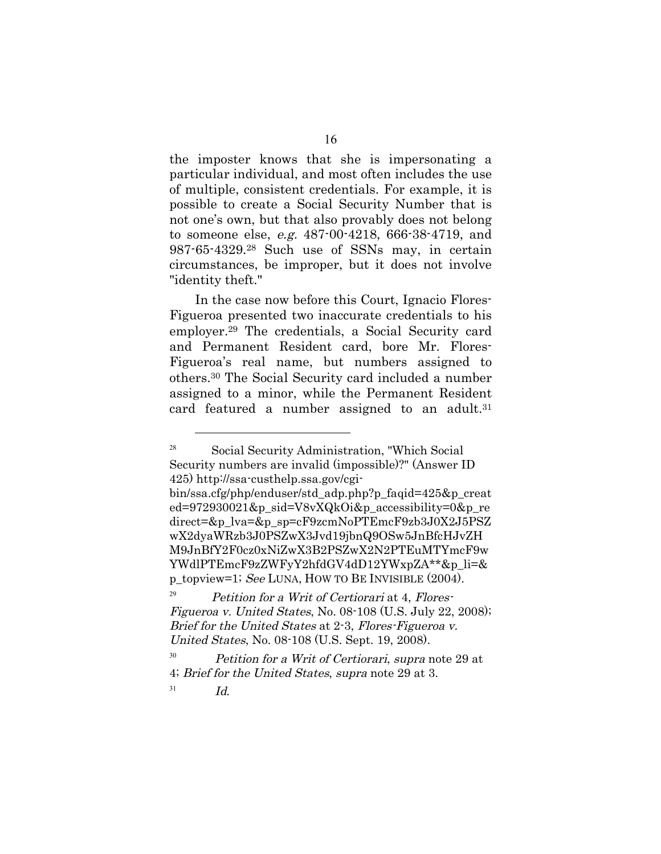the imposter knows that she is impersonating a particular individual, and most often includes the use of multiple, consistent credentials. For example, it is possible to create a Social Security Number that is not one's own, but that also provably does not belong to someone else, e.g. 487-00-4218, 666-38-4719, and 987-65-4329.28 Such use of SSNs may, in certain circumstances, be improper, but it does not involve "identity theft."

In the case now before this Court, Ignacio Flores-Figueroa presented two inaccurate credentials to his employer.29 The credentials, a Social Security card and Permanent Resident card, bore Mr. Flores-Figueroa's real name, but numbers assigned to others.30 The Social Security card included a number assigned to a minor, while the Permanent Resident card featured a number assigned to an adult.<sup>31</sup>

 $P_{\text{1}}^{29}$  Petition for a Writ of Certiorari at 4, Flores-Figueroa v. United States, No. 08-108 (U.S. July 22, 2008); Brief for the United States at 2-3, Flores-Figueroa v. United States, No. 08-108 (U.S. Sept. 19, 2008).

<sup>28</sup> Social Security Administration, "Which Social Security numbers are invalid (impossible)?" (Answer ID 425) http://ssa-custhelp.ssa.gov/cgi-

bin/ssa.cfg/php/enduser/std\_adp.php?p\_faqid=425&p\_creat ed=972930021&p\_sid=V8vXQkOi&p\_accessibility=0&p\_re direct=&p\_lva=&p\_sp=cF9zcmNoPTEmcF9zb3J0X2J5PSZ wX2dyaWRzb3J0PSZwX3Jvd19jbnQ9OSw5JnBfcHJvZH M9JnBfY2F0cz0xNiZwX3B2PSZwX2N2PTEuMTYmcF9w YWdlPTEmcF9zZWFyY2hfdGV4dD12YWxpZA\*\*&p\_li=& p\_topview=1; See LUNA, HOW TO BE INVISIBLE  $(2004)$ .

 $30$  Petition for a Writ of Certiorari, supra note 29 at 4; Brief for the United States, supra note 29 at 3.

 $^{31}$  Id.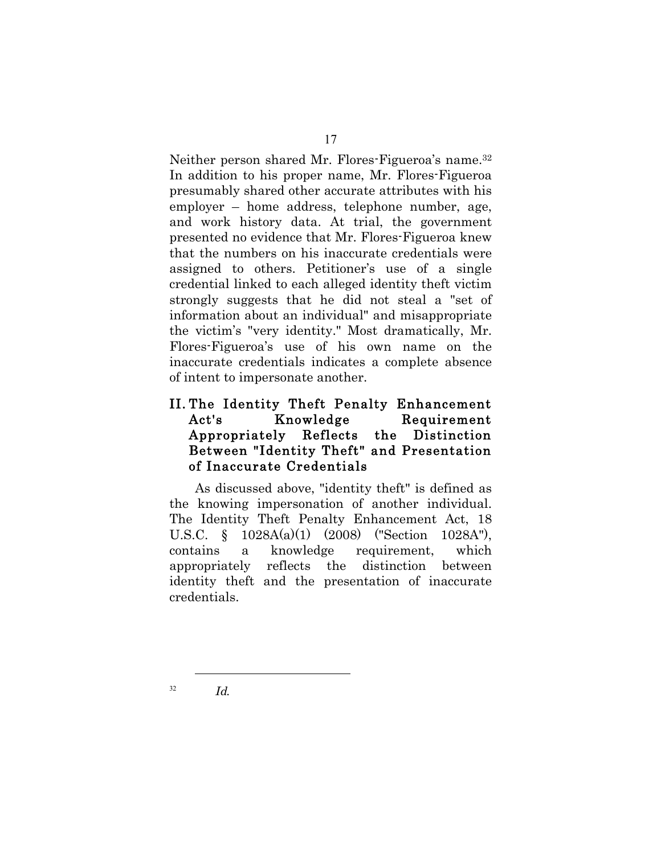Neither person shared Mr. Flores-Figueroa's name.32 In addition to his proper name, Mr. Flores-Figueroa presumably shared other accurate attributes with his employer – home address, telephone number, age, and work history data. At trial, the government presented no evidence that Mr. Flores-Figueroa knew that the numbers on his inaccurate credentials were assigned to others. Petitioner's use of a single credential linked to each alleged identity theft victim strongly suggests that he did not steal a "set of information about an individual" and misappropriate the victim's "very identity." Most dramatically, Mr. Flores-Figueroa's use of his own name on the inaccurate credentials indicates a complete absence of intent to impersonate another.

# II. The Identity Theft Penalty Enhancement Act's Knowledge Requirement Appropriately Reflects the Distinction Between "Identity Theft" and Presentation of Inaccurate Credentials

As discussed above, "identity theft" is defined as the knowing impersonation of another individual. The Identity Theft Penalty Enhancement Act, 18 U.S.C. § 1028A(a)(1) (2008) ("Section 1028A"), contains a knowledge requirement, which appropriately reflects the distinction between identity theft and the presentation of inaccurate credentials.

 $\overline{a}$  $^{32}$  Id.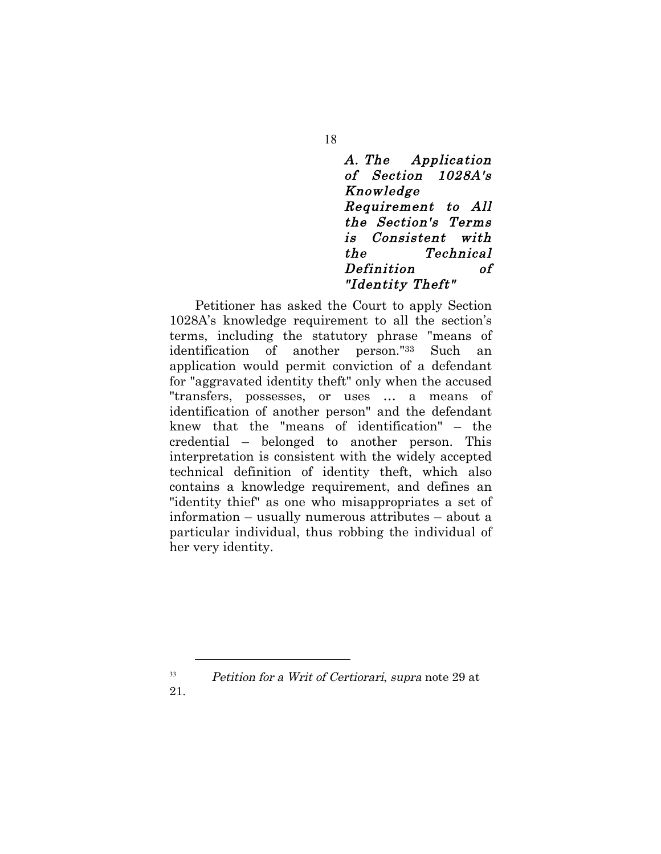A. The Application of Section 1028A's Knowledge Requirement to All the Section's Terms is Consistent with the Technical Definition of "Identity Theft"

Petitioner has asked the Court to apply Section 1028A's knowledge requirement to all the section's terms, including the statutory phrase "means of identification of another person."33 Such an application would permit conviction of a defendant for "aggravated identity theft" only when the accused "transfers, possesses, or uses … a means of identification of another person" and the defendant knew that the "means of identification" – the credential – belonged to another person. This interpretation is consistent with the widely accepted technical definition of identity theft, which also contains a knowledge requirement, and defines an "identity thief" as one who misappropriates a set of information – usually numerous attributes – about a particular individual, thus robbing the individual of her very identity.

 $33$  Petition for a Writ of Certiorari, supra note 29 at

21.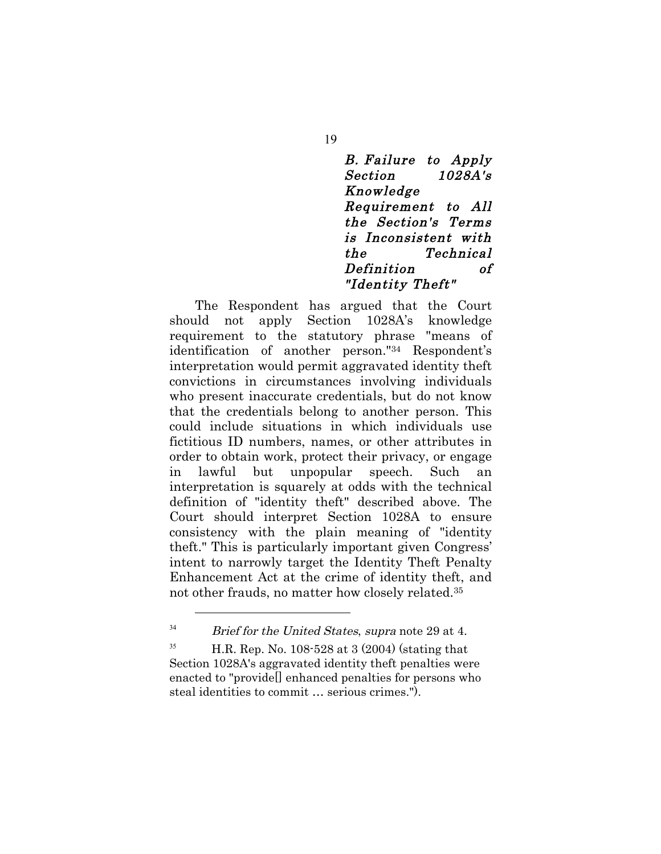### B. Failure to Apply Section 1028A's Knowledge Requirement to All the Section's Terms is Inconsistent with the Technical Definition of "Identity Theft"

The Respondent has argued that the Court should not apply Section 1028A's knowledge requirement to the statutory phrase "means of identification of another person."34 Respondent's interpretation would permit aggravated identity theft convictions in circumstances involving individuals who present inaccurate credentials, but do not know that the credentials belong to another person. This could include situations in which individuals use fictitious ID numbers, names, or other attributes in order to obtain work, protect their privacy, or engage in lawful but unpopular speech. Such interpretation is squarely at odds with the technical definition of "identity theft" described above. The Court should interpret Section 1028A to ensure consistency with the plain meaning of "identity theft." This is particularly important given Congress' intent to narrowly target the Identity Theft Penalty Enhancement Act at the crime of identity theft, and not other frauds, no matter how closely related.35

 $\overline{a}$ 

19

 $34$  Brief for the United States, supra note 29 at 4.

<sup>&</sup>lt;sup>35</sup> H.R. Rep. No. 108-528 at 3  $(2004)$  (stating that Section 1028A's aggravated identity theft penalties were enacted to "provide[] enhanced penalties for persons who steal identities to commit … serious crimes.").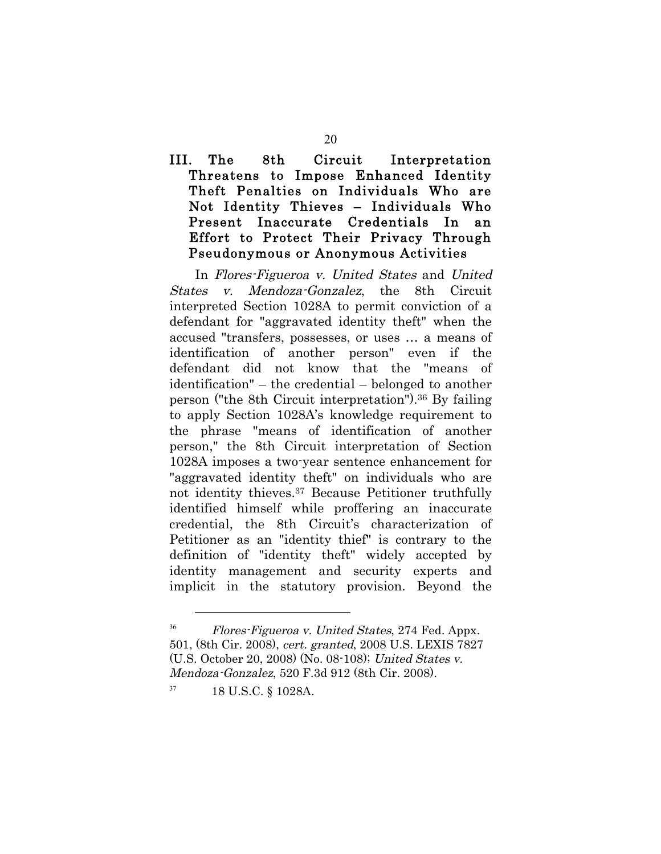# III. The 8th Circuit Interpretation Threatens to Impose Enhanced Identity Theft Penalties on Individuals Who are Not Identity Thieves – Individuals Who Present Inaccurate Credentials In an Effort to Protect Their Privacy Through Pseudonymous or Anonymous Activities

In Flores-Figueroa v. United States and United States v. Mendoza-Gonzalez, the 8th Circuit interpreted Section 1028A to permit conviction of a defendant for "aggravated identity theft" when the accused "transfers, possesses, or uses … a means of identification of another person" even if the defendant did not know that the "means of identification" – the credential – belonged to another person ("the 8th Circuit interpretation").36 By failing to apply Section 1028A's knowledge requirement to the phrase "means of identification of another person," the 8th Circuit interpretation of Section 1028A imposes a two-year sentence enhancement for "aggravated identity theft" on individuals who are not identity thieves.37 Because Petitioner truthfully identified himself while proffering an inaccurate credential, the 8th Circuit's characterization of Petitioner as an "identity thief" is contrary to the definition of "identity theft" widely accepted by identity management and security experts and implicit in the statutory provision. Beyond the

<sup>36</sup> Flores-Figueroa v. United States, 274 Fed. Appx. 501, (8th Cir. 2008), cert. granted, 2008 U.S. LEXIS 7827 (U.S. October 20, 2008) (No. 08-108); United States v. Mendoza-Gonzalez, 520 F.3d 912 (8th Cir. 2008).

<sup>37</sup> 18 U.S.C. § 1028A.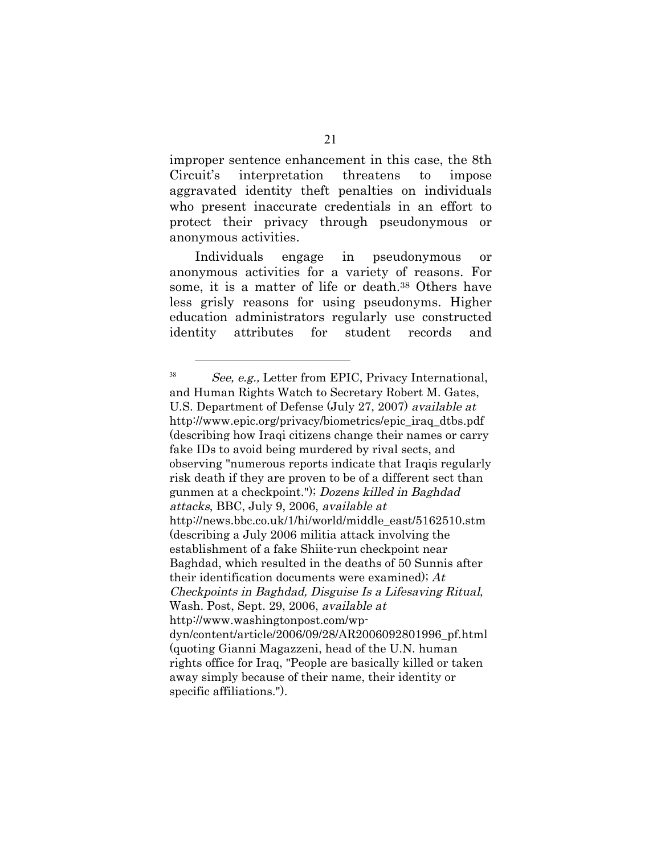improper sentence enhancement in this case, the 8th Circuit's interpretation threatens to impose aggravated identity theft penalties on individuals who present inaccurate credentials in an effort to protect their privacy through pseudonymous or anonymous activities.

Individuals engage in pseudonymous or anonymous activities for a variety of reasons. For some, it is a matter of life or death.<sup>38</sup> Others have less grisly reasons for using pseudonyms. Higher education administrators regularly use constructed identity attributes for student records and

<sup>38</sup> See, e.g., Letter from EPIC, Privacy International, and Human Rights Watch to Secretary Robert M. Gates, U.S. Department of Defense (July 27, 2007) available at http://www.epic.org/privacy/biometrics/epic\_iraq\_dtbs.pdf (describing how Iraqi citizens change their names or carry fake IDs to avoid being murdered by rival sects, and observing "numerous reports indicate that Iraqis regularly risk death if they are proven to be of a different sect than gunmen at a checkpoint."); Dozens killed in Baghdad attacks, BBC, July 9, 2006, available at http://news.bbc.co.uk/1/hi/world/middle\_east/5162510.stm (describing a July 2006 militia attack involving the establishment of a fake Shiite-run checkpoint near Baghdad, which resulted in the deaths of 50 Sunnis after their identification documents were examined);  $At$ Checkpoints in Baghdad, Disguise Is a Lifesaving Ritual, Wash. Post, Sept. 29, 2006, available at http://www.washingtonpost.com/wpdyn/content/article/2006/09/28/AR2006092801996\_pf.html (quoting Gianni Magazzeni, head of the U.N. human rights office for Iraq, "People are basically killed or taken away simply because of their name, their identity or specific affiliations.").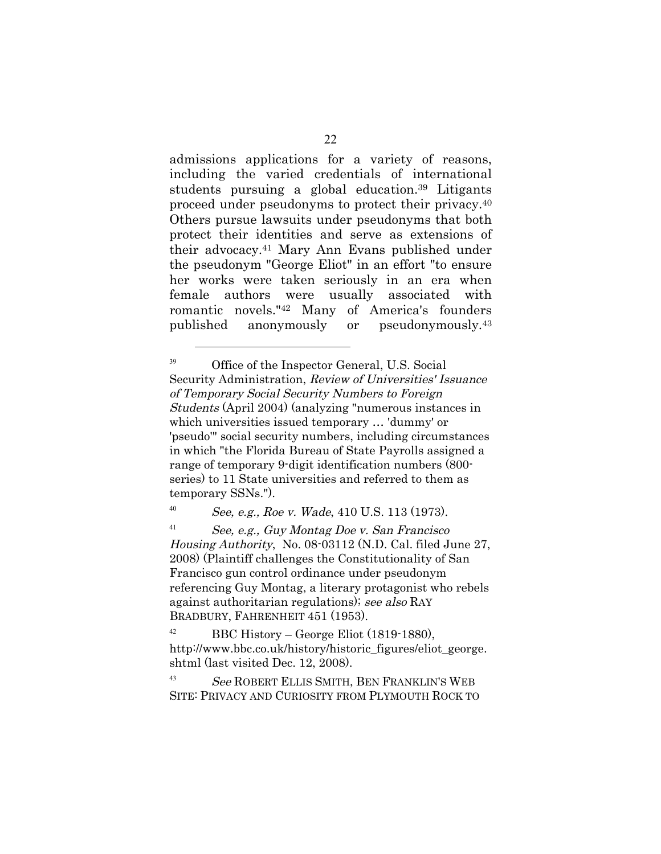admissions applications for a variety of reasons, including the varied credentials of international students pursuing a global education.39 Litigants proceed under pseudonyms to protect their privacy.40 Others pursue lawsuits under pseudonyms that both protect their identities and serve as extensions of their advocacy.41 Mary Ann Evans published under the pseudonym "George Eliot" in an effort "to ensure her works were taken seriously in an era when female authors were usually associated with romantic novels."42 Many of America's founders published anonymously or pseudonymously.43

<sup>39</sup> Office of the Inspector General, U.S. Social Security Administration, Review of Universities' Issuance of Temporary Social Security Numbers to Foreign Students (April 2004) (analyzing "numerous instances in which universities issued temporary … 'dummy' or 'pseudo'" social security numbers, including circumstances in which "the Florida Bureau of State Payrolls assigned a range of temporary 9-digit identification numbers (800 series) to 11 State universities and referred to them as temporary SSNs.").

<sup>40</sup> See, e.g., Roe v. Wade, 410 U.S. 113 (1973).

 $\overline{a}$ 

 $^{41}$  See, e.g., Guy Montag Doe v. San Francisco Housing Authority, No. 08-03112 (N.D. Cal. filed June 27, 2008) (Plaintiff challenges the Constitutionality of San Francisco gun control ordinance under pseudonym referencing Guy Montag, a literary protagonist who rebels against authoritarian regulations); see also RAY BRADBURY, FAHRENHEIT 451 (1953).

<sup>42</sup> BBC History – George Eliot (1819-1880), http://www.bbc.co.uk/history/historic\_figures/eliot\_george. shtml (last visited Dec. 12, 2008).

<sup>43</sup> See ROBERT ELLIS SMITH, BEN FRANKLIN'S WEB SITE: PRIVACY AND CURIOSITY FROM PLYMOUTH ROCK TO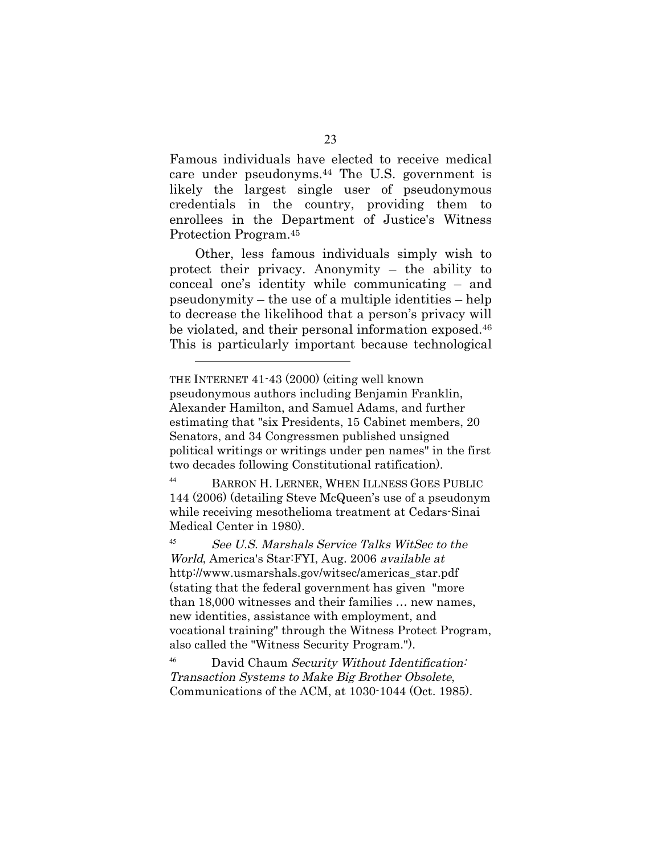Famous individuals have elected to receive medical care under pseudonyms.44 The U.S. government is likely the largest single user of pseudonymous credentials in the country, providing them to enrollees in the Department of Justice's Witness Protection Program.45

Other, less famous individuals simply wish to protect their privacy. Anonymity – the ability to conceal one's identity while communicating – and pseudonymity – the use of a multiple identities – help to decrease the likelihood that a person's privacy will be violated, and their personal information exposed.46 This is particularly important because technological

 $\overline{a}$ 

<sup>44</sup> BARRON H. LERNER, WHEN ILLNESS GOES PUBLIC 144 (2006) (detailing Steve McQueen's use of a pseudonym while receiving mesothelioma treatment at Cedars-Sinai Medical Center in 1980).

<sup>45</sup> See U.S. Marshals Service Talks WitSec to the World, America's Star:FYI, Aug. 2006 available at http://www.usmarshals.gov/witsec/americas\_star.pdf (stating that the federal government has given "more than 18,000 witnesses and their families … new names, new identities, assistance with employment, and vocational training" through the Witness Protect Program, also called the "Witness Security Program.").

<sup>46</sup> David Chaum Security Without Identification: Transaction Systems to Make Big Brother Obsolete, Communications of the ACM, at 1030-1044 (Oct. 1985).

THE INTERNET 41-43 (2000) (citing well known pseudonymous authors including Benjamin Franklin, Alexander Hamilton, and Samuel Adams, and further estimating that "six Presidents, 15 Cabinet members, 20 Senators, and 34 Congressmen published unsigned political writings or writings under pen names" in the first two decades following Constitutional ratification).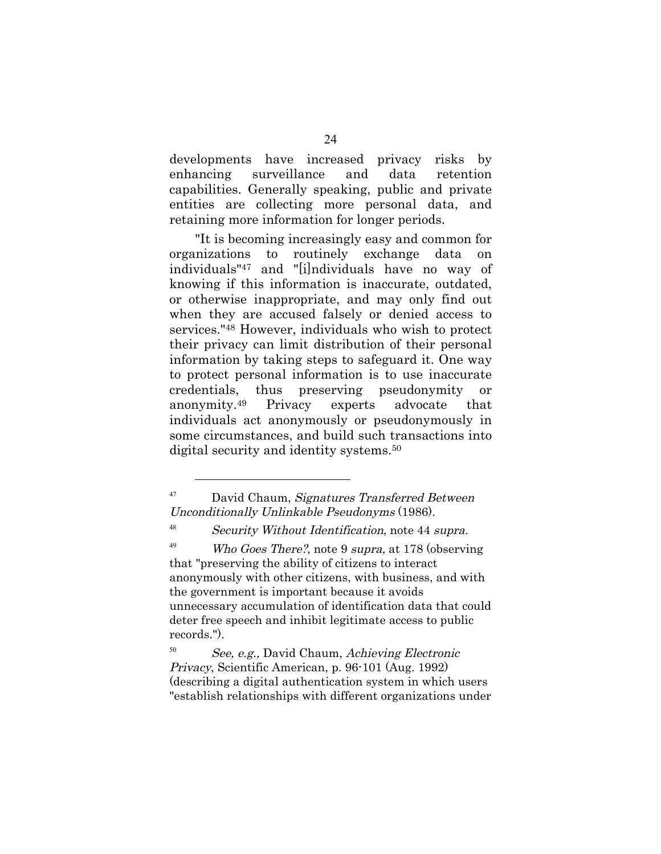developments have increased privacy risks by enhancing surveillance and data retention capabilities. Generally speaking, public and private entities are collecting more personal data, and retaining more information for longer periods.

"It is becoming increasingly easy and common for organizations to routinely exchange data on individuals"47 and "[i]ndividuals have no way of knowing if this information is inaccurate, outdated, or otherwise inappropriate, and may only find out when they are accused falsely or denied access to services."48 However, individuals who wish to protect their privacy can limit distribution of their personal information by taking steps to safeguard it. One way to protect personal information is to use inaccurate credentials, thus preserving pseudonymity or anonymity.49 Privacy experts advocate that individuals act anonymously or pseudonymously in some circumstances, and build such transactions into digital security and identity systems.<sup>50</sup>

 $\overline{a}$ 

<sup>48</sup> Security Without Identification, note 44 supra.

<sup>49</sup> Who Goes There?, note 9 supra, at 178 (observing that "preserving the ability of citizens to interact anonymously with other citizens, with business, and with the government is important because it avoids unnecessary accumulation of identification data that could deter free speech and inhibit legitimate access to public records.").

<sup>50</sup> See, e.g., David Chaum, Achieving Electronic Privacy, Scientific American, p. 96-101 (Aug. 1992) (describing a digital authentication system in which users "establish relationships with different organizations under

<sup>&</sup>lt;sup>47</sup> David Chaum, Signatures Transferred Between Unconditionally Unlinkable Pseudonyms (1986).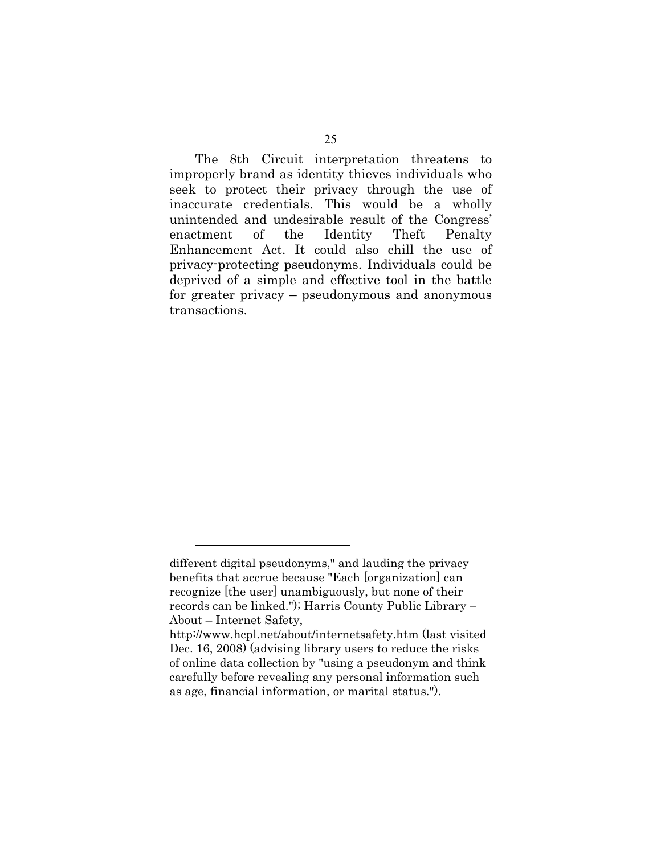The 8th Circuit interpretation threatens to improperly brand as identity thieves individuals who seek to protect their privacy through the use of inaccurate credentials. This would be a wholly unintended and undesirable result of the Congress' enactment of the Identity Theft Penalty Enhancement Act. It could also chill the use of privacy-protecting pseudonyms. Individuals could be deprived of a simple and effective tool in the battle for greater privacy – pseudonymous and anonymous transactions.

different digital pseudonyms," and lauding the privacy benefits that accrue because "Each [organization] can recognize [the user] unambiguously, but none of their records can be linked."); Harris County Public Library – About – Internet Safety,

http://www.hcpl.net/about/internetsafety.htm (last visited Dec. 16, 2008) (advising library users to reduce the risks of online data collection by "using a pseudonym and think carefully before revealing any personal information such as age, financial information, or marital status.").